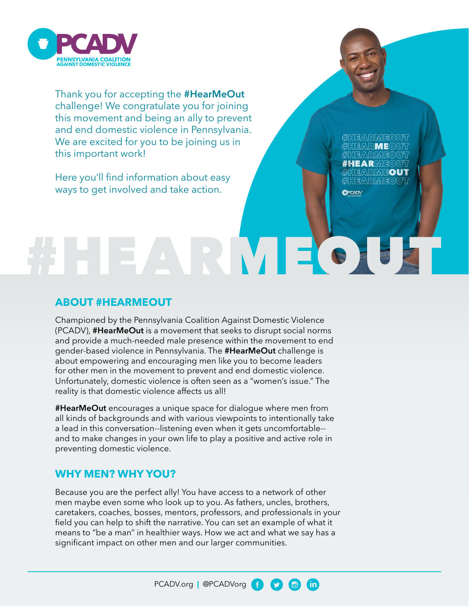

Thank you for accepting the **#HearMeOut** challenge! We congratulate you for joining this movement and being an ally to prevent and end domestic violence in Pennsylvania. We are excited for you to be joining us in this important work!

Here you'll find information about easy ways to get involved and take action.

IFARMFOWT **EARME**© **EARMEO** #HEARME©UT EARMEOUT #HEARMEOV7

**OPCADV** 

 $(\mathsf{in})$ 

 $\mathbf{C}$ 

 $\Xi$ 

# **ABOUT #HEARMEOUT**

Championed by the Pennsylvania Coalition Against Domestic Violence (PCADV), **#HearMeOut** is a movement that seeks to disrupt social norms and provide a much-needed male presence within the movement to end gender-based violence in Pennsylvania. The **#HearMeOut** challenge is about empowering and encouraging men like you to become leaders for other men in the movement to prevent and end domestic violence. Unfortunately, domestic violence is often seen as a "women's issue." The reality is that domestic violence affects us all!

ARMEO

**#HearMeOut** encourages a unique space for dialogue where men from all kinds of backgrounds and with various viewpoints to intentionally take a lead in this conversation--listening even when it gets uncomfortable- and to make changes in your own life to play a positive and active role in preventing domestic violence.

# **WHY MEN? WHY YOU?**

Because you are the perfect ally! You have access to a network of other men maybe even some who look up to you. As fathers, uncles, brothers, caretakers, coaches, bosses, mentors, professors, and professionals in your field you can help to shift the narrative. You can set an example of what it means to "be a man" in healthier ways. How we act and what we say has a significant impact on other men and our larger communities.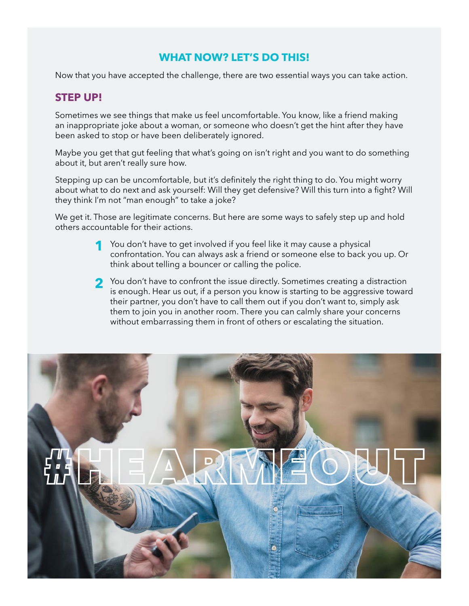# **WHAT NOW? LET'S DO THIS!**

Now that you have accepted the challenge, there are two essential ways you can take action.

# **STEP UP!**

Sometimes we see things that make us feel uncomfortable. You know, like a friend making an inappropriate joke about a woman, or someone who doesn't get the hint after they have been asked to stop or have been deliberately ignored.

Maybe you get that gut feeling that what's going on isn't right and you want to do something about it, but aren't really sure how.

Stepping up can be uncomfortable, but it's definitely the right thing to do. You might worry about what to do next and ask yourself: Will they get defensive? Will this turn into a fight? Will they think I'm not "man enough" to take a joke?

We get it. Those are legitimate concerns. But here are some ways to safely step up and hold others accountable for their actions.

- You don't have to get involved if you feel like it may cause a physical<br>confrontation. You can always ask a friend or someone else to bask y confrontation. You can always ask a friend or someone else to back you up. Or think about telling a bouncer or calling the police.
- You don't have to confront the issue directly. Sometimes creating a distraction<br>is enough Hear us out if a person you know is starting to be aggressive toward is enough. Hear us out, if a person you know is starting to be aggressive toward their partner, you don't have to call them out if you don't want to, simply ask them to join you in another room. There you can calmly share your concerns without embarrassing them in front of others or escalating the situation.

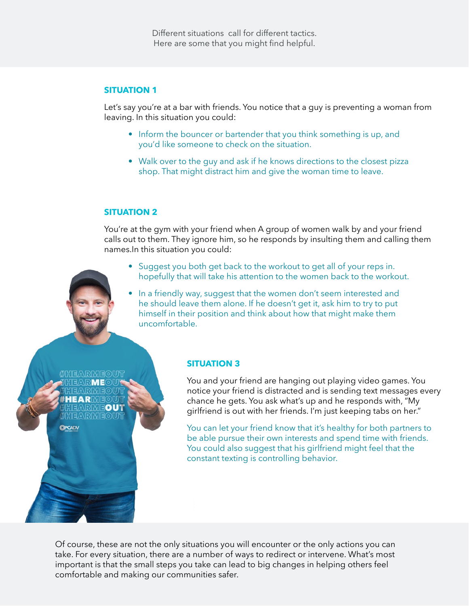#### **SITUATION 1**

Let's say you're at a bar with friends. You notice that a guy is preventing a woman from leaving. In this situation you could:

- Inform the bouncer or bartender that you think something is up, and you'd like someone to check on the situation.
- Walk over to the guy and ask if he knows directions to the closest pizza shop. That might distract him and give the woman time to leave.

#### **SITUATION 2**

You're at the gym with your friend when A group of women walk by and your friend calls out to them. They ignore him, so he responds by insulting them and calling them names.In this situation you could:

- Suggest you both get back to the workout to get all of your reps in. hopefully that will take his attention to the women back to the workout.
- In a friendly way, suggest that the women don't seem interested and he should leave them alone. If he doesn't get it, ask him to try to put himself in their position and think about how that might make them uncomfortable.

**HEARM** EARMEOUT HEARMEOUT **DPCADV** 

#### **SITUATION 3**

You and your friend are hanging out playing video games. You notice your friend is distracted and is sending text messages every chance he gets. You ask what's up and he responds with, "My girlfriend is out with her friends. I'm just keeping tabs on her."

You can let your friend know that it's healthy for both partners to be able pursue their own interests and spend time with friends. You could also suggest that his girlfriend might feel that the constant texting is controlling behavior.

Of course, these are not the only situations you will encounter or the only actions you can take. For every situation, there are a number of ways to redirect or intervene. What's most important is that the small steps you take can lead to big changes in helping others feel comfortable and making our communities safer.